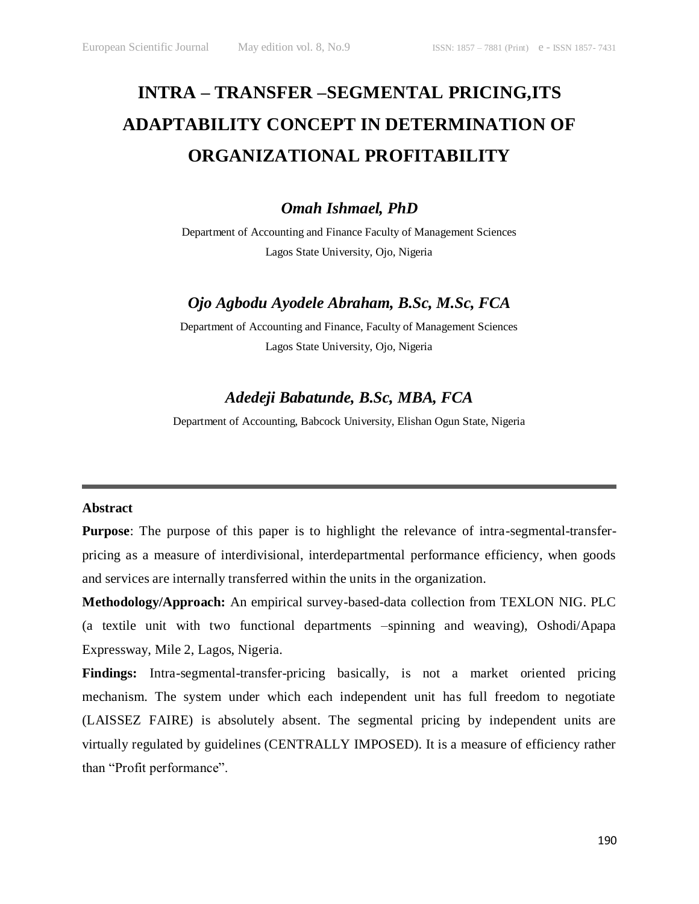# **INTRA – TRANSFER –SEGMENTAL PRICING,ITS ADAPTABILITY CONCEPT IN DETERMINATION OF ORGANIZATIONAL PROFITABILITY**

*Omah Ishmael, PhD*

Department of Accounting and Finance Faculty of Management Sciences Lagos State University, Ojo, Nigeria

## *Ojo Agbodu Ayodele Abraham, B.Sc, M.Sc, FCA*

Department of Accounting and Finance, Faculty of Management Sciences Lagos State University, Ojo, Nigeria

# *Adedeji Babatunde, B.Sc, MBA, FCA*

Department of Accounting, Babcock University, Elishan Ogun State, Nigeria

#### **Abstract**

**Purpose**: The purpose of this paper is to highlight the relevance of intra-segmental-transferpricing as a measure of interdivisional, interdepartmental performance efficiency, when goods and services are internally transferred within the units in the organization.

**Methodology/Approach:** An empirical survey-based-data collection from TEXLON NIG. PLC (a textile unit with two functional departments –spinning and weaving), Oshodi/Apapa Expressway, Mile 2, Lagos, Nigeria.

**Findings:** Intra-segmental-transfer-pricing basically, is not a market oriented pricing mechanism. The system under which each independent unit has full freedom to negotiate (LAISSEZ FAIRE) is absolutely absent. The segmental pricing by independent units are virtually regulated by guidelines (CENTRALLY IMPOSED). It is a measure of efficiency rather than "Profit performance".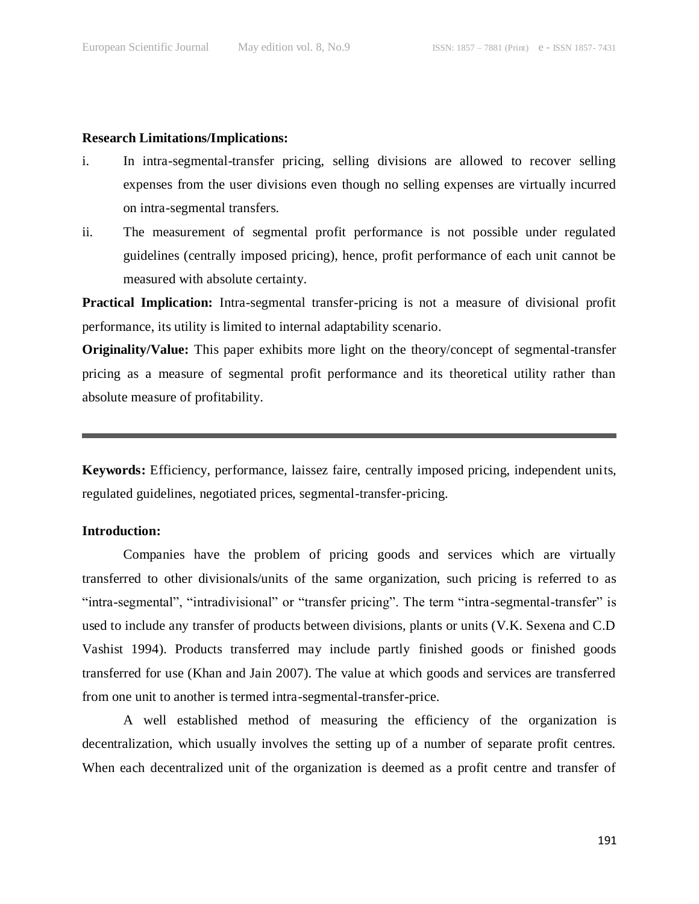#### **Research Limitations/Implications:**

- i. In intra-segmental-transfer pricing, selling divisions are allowed to recover selling expenses from the user divisions even though no selling expenses are virtually incurred on intra-segmental transfers.
- ii. The measurement of segmental profit performance is not possible under regulated guidelines (centrally imposed pricing), hence, profit performance of each unit cannot be measured with absolute certainty.

**Practical Implication:** Intra-segmental transfer-pricing is not a measure of divisional profit performance, its utility is limited to internal adaptability scenario.

**Originality/Value:** This paper exhibits more light on the theory/concept of segmental-transfer pricing as a measure of segmental profit performance and its theoretical utility rather than absolute measure of profitability.

**Keywords:** Efficiency, performance, laissez faire, centrally imposed pricing, independent units, regulated guidelines, negotiated prices, segmental-transfer-pricing.

#### **Introduction:**

Companies have the problem of pricing goods and services which are virtually transferred to other divisionals/units of the same organization, such pricing is referred to as "intra-segmental", "intradivisional" or "transfer pricing". The term "intra-segmental-transfer" is used to include any transfer of products between divisions, plants or units (V.K. Sexena and C.D Vashist 1994). Products transferred may include partly finished goods or finished goods transferred for use (Khan and Jain 2007). The value at which goods and services are transferred from one unit to another is termed intra-segmental-transfer-price.

A well established method of measuring the efficiency of the organization is decentralization, which usually involves the setting up of a number of separate profit centres. When each decentralized unit of the organization is deemed as a profit centre and transfer of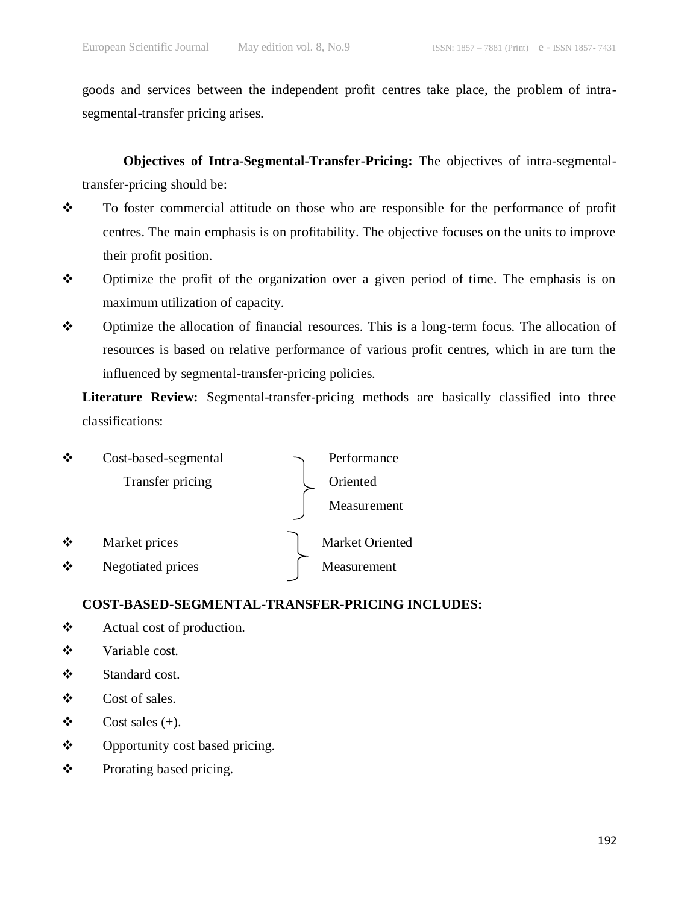goods and services between the independent profit centres take place, the problem of intrasegmental-transfer pricing arises.

**Objectives of Intra-Segmental-Transfer-Pricing:** The objectives of intra-segmentaltransfer-pricing should be:

- \* To foster commercial attitude on those who are responsible for the performance of profit centres. The main emphasis is on profitability. The objective focuses on the units to improve their profit position.
- $\mathbf{\hat{P}}$  Optimize the profit of the organization over a given period of time. The emphasis is on maximum utilization of capacity.
- Optimize the allocation of financial resources. This is a long-term focus. The allocation of resources is based on relative performance of various profit centres, which in are turn the influenced by segmental-transfer-pricing policies.

**Literature Review:** Segmental-transfer-pricing methods are basically classified into three classifications:



#### **COST-BASED-SEGMENTAL-TRANSFER-PRICING INCLUDES:**

- Actual cost of production.
- $\mathbf{\hat{\cdot}}$  Variable cost.
- Standard cost.
- $\mathbf{\hat{\cdot}}$  Cost of sales.
- $\bullet$  Cost sales (+).
- ❖ Opportunity cost based pricing.
- ❖ Prorating based pricing.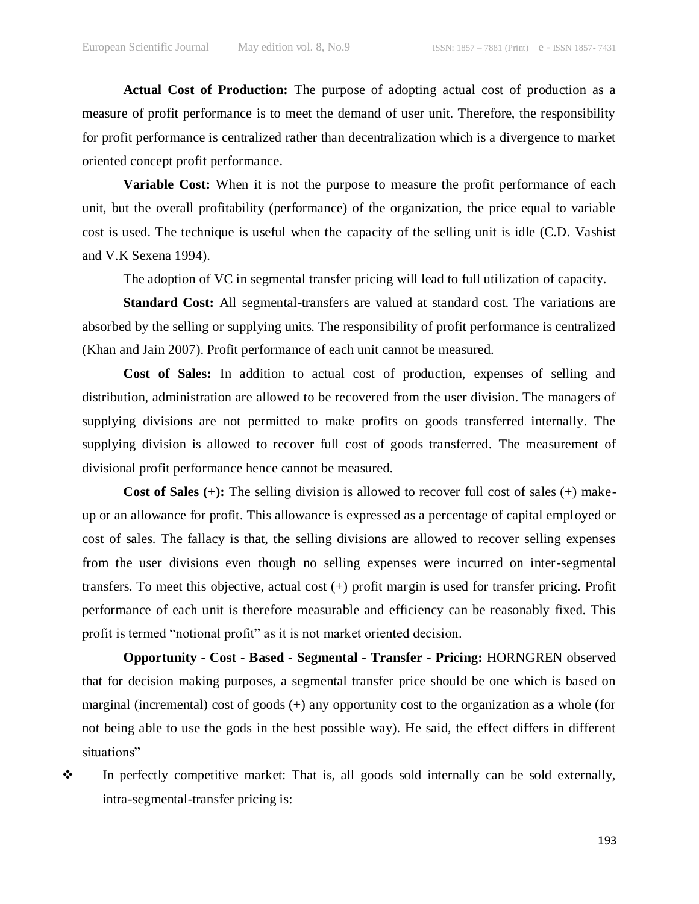**Actual Cost of Production:** The purpose of adopting actual cost of production as a measure of profit performance is to meet the demand of user unit. Therefore, the responsibility for profit performance is centralized rather than decentralization which is a divergence to market oriented concept profit performance.

**Variable Cost:** When it is not the purpose to measure the profit performance of each unit, but the overall profitability (performance) of the organization, the price equal to variable cost is used. The technique is useful when the capacity of the selling unit is idle (C.D. Vashist and V.K Sexena 1994).

The adoption of VC in segmental transfer pricing will lead to full utilization of capacity.

**Standard Cost:** All segmental-transfers are valued at standard cost. The variations are absorbed by the selling or supplying units. The responsibility of profit performance is centralized (Khan and Jain 2007). Profit performance of each unit cannot be measured.

**Cost of Sales:** In addition to actual cost of production, expenses of selling and distribution, administration are allowed to be recovered from the user division. The managers of supplying divisions are not permitted to make profits on goods transferred internally. The supplying division is allowed to recover full cost of goods transferred. The measurement of divisional profit performance hence cannot be measured.

**Cost of Sales (+):** The selling division is allowed to recover full cost of sales (+) makeup or an allowance for profit. This allowance is expressed as a percentage of capital employed or cost of sales. The fallacy is that, the selling divisions are allowed to recover selling expenses from the user divisions even though no selling expenses were incurred on inter-segmental transfers. To meet this objective, actual cost (+) profit margin is used for transfer pricing. Profit performance of each unit is therefore measurable and efficiency can be reasonably fixed. This profit is termed "notional profit" as it is not market oriented decision.

**Opportunity - Cost - Based - Segmental - Transfer - Pricing:** HORNGREN observed that for decision making purposes, a segmental transfer price should be one which is based on marginal (incremental) cost of goods (+) any opportunity cost to the organization as a whole (for not being able to use the gods in the best possible way). He said, the effect differs in different situations"

• In perfectly competitive market: That is, all goods sold internally can be sold externally, intra-segmental-transfer pricing is: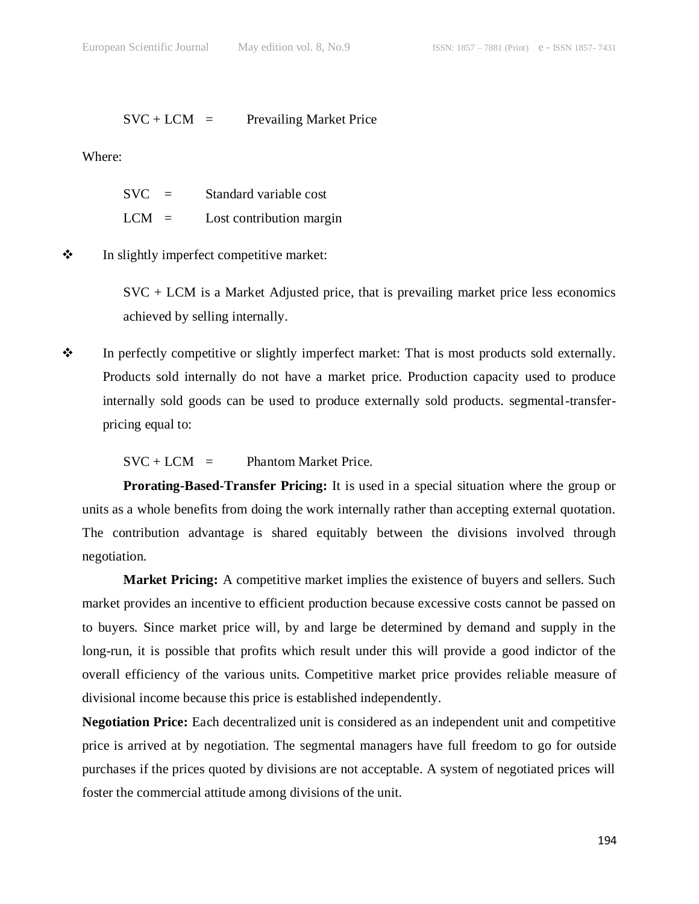$SVC + LCM = Prevailing Market Price$ 

Where:

| $SVC =$ |     | Standard variable cost   |
|---------|-----|--------------------------|
| LCM –   | $=$ | Lost contribution margin |

 $\mathbf{\hat{P}}$  In slightly imperfect competitive market:

SVC + LCM is a Market Adjusted price, that is prevailing market price less economics achieved by selling internally.

• In perfectly competitive or slightly imperfect market: That is most products sold externally. Products sold internally do not have a market price. Production capacity used to produce internally sold goods can be used to produce externally sold products. segmental-transferpricing equal to:

 $SVC + LCM =$  Phantom Market Price.

**Prorating-Based-Transfer Pricing:** It is used in a special situation where the group or units as a whole benefits from doing the work internally rather than accepting external quotation. The contribution advantage is shared equitably between the divisions involved through negotiation.

**Market Pricing:** A competitive market implies the existence of buyers and sellers. Such market provides an incentive to efficient production because excessive costs cannot be passed on to buyers. Since market price will, by and large be determined by demand and supply in the long-run, it is possible that profits which result under this will provide a good indictor of the overall efficiency of the various units. Competitive market price provides reliable measure of divisional income because this price is established independently.

**Negotiation Price:** Each decentralized unit is considered as an independent unit and competitive price is arrived at by negotiation. The segmental managers have full freedom to go for outside purchases if the prices quoted by divisions are not acceptable. A system of negotiated prices will foster the commercial attitude among divisions of the unit.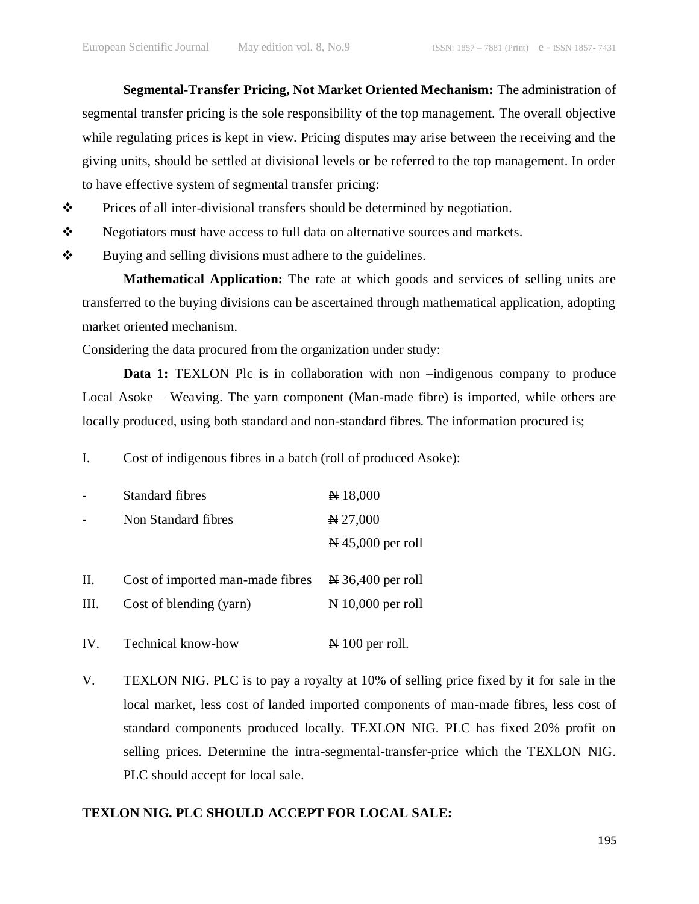**Segmental-Transfer Pricing, Not Market Oriented Mechanism:** The administration of segmental transfer pricing is the sole responsibility of the top management. The overall objective while regulating prices is kept in view. Pricing disputes may arise between the receiving and the giving units, should be settled at divisional levels or be referred to the top management. In order to have effective system of segmental transfer pricing:

- $\mathbf{\hat{P}}$  Prices of all inter-divisional transfers should be determined by negotiation.
- Stephalism Superiators must have access to full data on alternative sources and markets.
- $\mathbf{\hat{P}}$  Buying and selling divisions must adhere to the guidelines.

**Mathematical Application:** The rate at which goods and services of selling units are transferred to the buying divisions can be ascertained through mathematical application, adopting market oriented mechanism.

Considering the data procured from the organization under study:

**Data 1:** TEXLON Plc is in collaboration with non –indigenous company to produce Local Asoke – Weaving. The yarn component (Man-made fibre) is imported, while others are locally produced, using both standard and non-standard fibres. The information procured is;

I. Cost of indigenous fibres in a batch (roll of produced Asoke):

|     | Standard fibres                  | $\cancel{+}$ 18,000                 |
|-----|----------------------------------|-------------------------------------|
|     | Non Standard fibres              | $\cancel{ }427,000$                 |
|     |                                  | $\cancel{\text{N}}$ 45,000 per roll |
|     |                                  |                                     |
| П.  | Cost of imported man-made fibres | $\approx 36,400$ per roll           |
| Ш.  | Cost of blending (yarn)          | $\approx 10,000$ per roll           |
|     |                                  |                                     |
| IV. | Technical know-how               | $\approx 100$ per roll.             |

V. TEXLON NIG. PLC is to pay a royalty at 10% of selling price fixed by it for sale in the local market, less cost of landed imported components of man-made fibres, less cost of standard components produced locally. TEXLON NIG. PLC has fixed 20% profit on selling prices. Determine the intra-segmental-transfer-price which the TEXLON NIG. PLC should accept for local sale.

#### **TEXLON NIG. PLC SHOULD ACCEPT FOR LOCAL SALE:**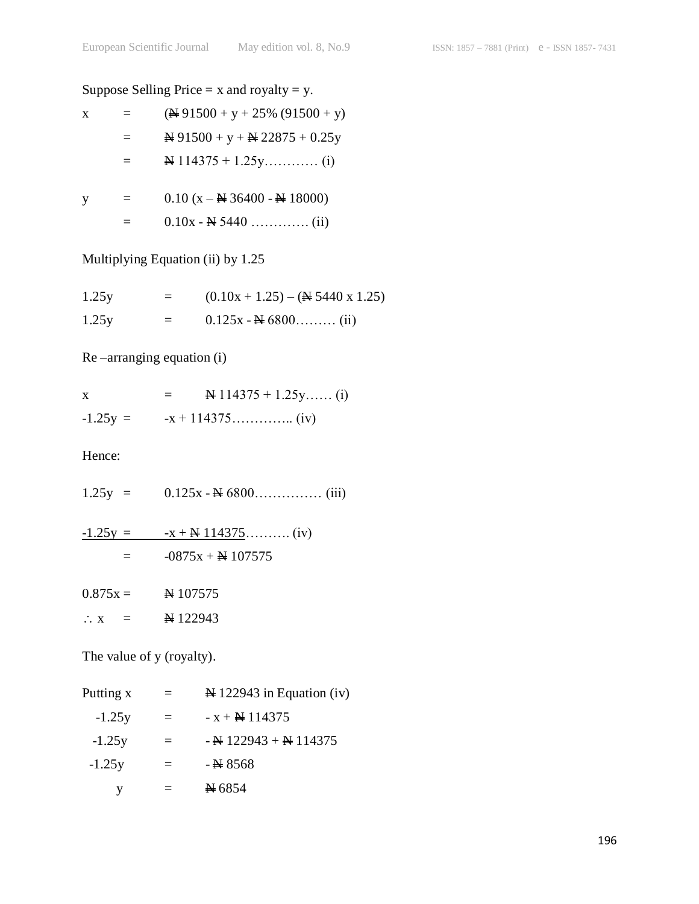# Suppose Selling Price  $= x$  and royalty  $= y$ .

| X | $=$ $-$ | $(\frac{\text{N}}{91500} + \text{y} + 25\%)(91500 + \text{y})$ |
|---|---------|----------------------------------------------------------------|
|   |         | $\cong 91500 + y + \cong 22875 + 0.25y$                        |
|   |         |                                                                |
|   |         | $0.10 \div N$ 26400 N 19000                                    |

| $\equiv$ | $0.10$ (X – $\leftrightarrow$ 36400 - $\leftrightarrow$ 18000) |
|----------|----------------------------------------------------------------|
|          |                                                                |

## Multiplying Equation (ii) by 1.25

| 1.25y | $=$ | $(0.10x + 1.25) - (4.5440x 1.25)$ |
|-------|-----|-----------------------------------|
| 1.25y | $=$ | $0.125x - 46800$ (ii)             |

## Re –arranging equation (i)

| X          | $\cancel{114375} + 1.25y$ (i) |  |
|------------|-------------------------------|--|
| $-1.25y =$ |                               |  |

Hence:

| $1.25y =$      |                     |
|----------------|---------------------|
| $-1.25y =$     |                     |
|                | $-0875x +$ N 107575 |
| $0.875x =$     | $\cancel{ }4107575$ |
| $\therefore$ X | N 122943            |

The value of y (royalty).

| Putting x | $=$      | $\cancel{\text{N}}$ 122943 in Equation (iv) |
|-----------|----------|---------------------------------------------|
| $-1.25y$  | $\equiv$ | $-x + \frac{N}{2}$ 114375                   |
| $-1.25y$  | $=$      | $-$ N 122943 + N 114375                     |
| $-1.25y$  | $\equiv$ | $-$ N 8568                                  |
|           |          | $\cancel{+}$ 6854                           |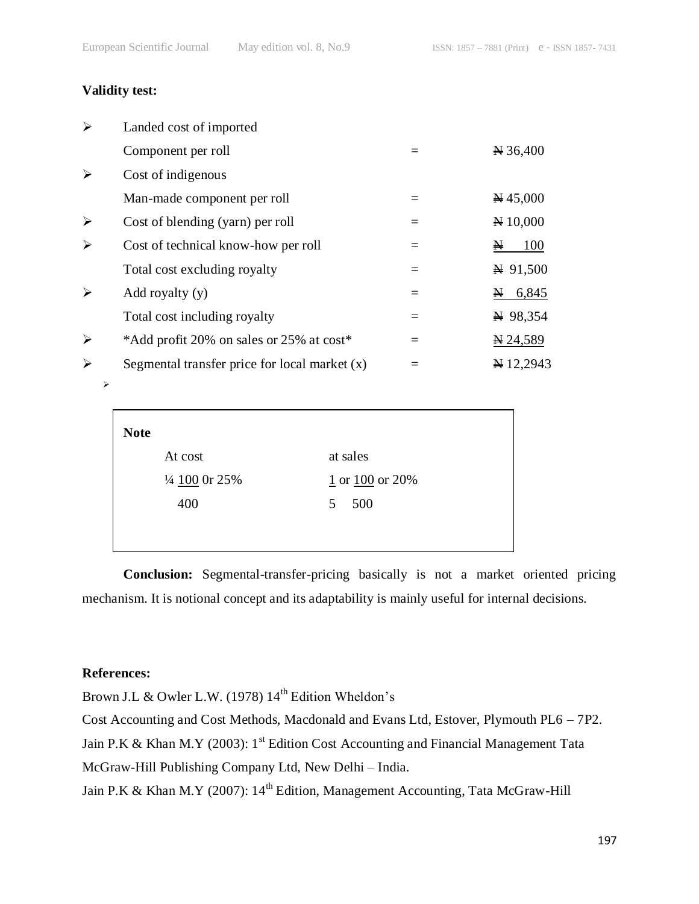#### **Validity test:**

| $\blacktriangleright$ | Landed cost of imported                         |          |                     |
|-----------------------|-------------------------------------------------|----------|---------------------|
|                       | Component per roll                              |          | $\cancel{H}$ 36,400 |
| ➤                     | Cost of indigenous                              |          |                     |
|                       | Man-made component per roll                     |          | $\cancel{H}$ 45,000 |
| $\blacktriangleright$ | Cost of blending (yarn) per roll                | $\equiv$ | $\cancel{H}$ 10,000 |
| ➤                     | Cost of technical know-how per roll             | $=$      | 100<br>N            |
|                       | Total cost excluding royalty                    | $=$      | $\cancel{+}$ 91,500 |
| $\blacktriangleright$ | Add royalty $(y)$                               |          | 6,845<br>N          |
|                       | Total cost including royalty                    | $=$      | $\cancel{+}$ 98,354 |
| $\blacktriangleright$ | *Add profit 20% on sales or 25% at cost*        | $\equiv$ | $\cancel{14.589}$   |
| ➤                     | Segmental transfer price for local market $(x)$ |          | ¥12,2943            |

| <b>Note</b>              |                       |
|--------------------------|-----------------------|
| At cost                  | at sales              |
| $\frac{1}{4}$ 100 0r 25% | $1$ or $100$ or $20%$ |
| 400                      | 500<br>5              |
|                          |                       |
|                          |                       |

**Conclusion:** Segmental-transfer-pricing basically is not a market oriented pricing mechanism. It is notional concept and its adaptability is mainly useful for internal decisions.

#### **References:**

 $\blacktriangleright$ 

Brown J.L & Owler L.W. (1978) 14<sup>th</sup> Edition Wheldon's

Cost Accounting and Cost Methods, Macdonald and Evans Ltd, Estover, Plymouth PL6 – 7P2.

Jain P.K & Khan M.Y (2003):  $1^{st}$  Edition Cost Accounting and Financial Management Tata

McGraw-Hill Publishing Company Ltd, New Delhi – India.

Jain P.K & Khan M.Y (2007): 14<sup>th</sup> Edition, Management Accounting, Tata McGraw-Hill